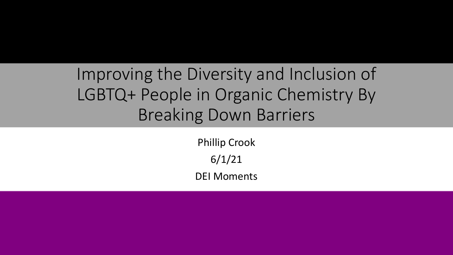Improving the Diversity and Inclusion of LGBTQ+ People in Organic Chemistry By Breaking Down Barriers

> Phillip Crook 6/1/21 DEI Moments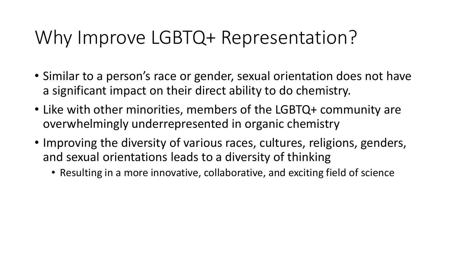## Why Improve LGBTQ+ Representation?

- Similar to a person's race or gender, sexual orientation does not have a significant impact on their direct ability to do chemistry.
- Like with other minorities, members of the LGBTQ+ community are overwhelmingly underrepresented in organic chemistry
- Improving the diversity of various races, cultures, religions, genders, and sexual orientations leads to a diversity of thinking
	- Resulting in a more innovative, collaborative, and exciting field of science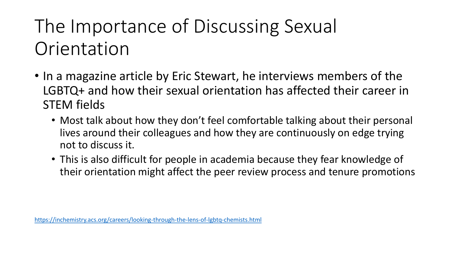# The Importance of Discussing Sexual Orientation

- In a magazine article by Eric Stewart, he interviews members of the LGBTQ+ and how their sexual orientation has affected their career in STEM fields
	- Most talk about how they don't feel comfortable talking about their personal lives around their colleagues and how they are continuously on edge trying not to discuss it.
	- This is also difficult for people in academia because they fear knowledge of their orientation might affect the peer review process and tenure promotions

<https://inchemistry.acs.org/careers/looking-through-the-lens-of-lgbtq-chemists.html>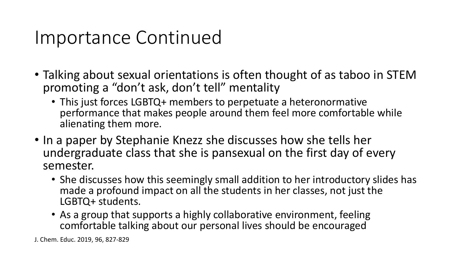### Importance Continued

- Talking about sexual orientations is often thought of as taboo in STEM promoting a "don't ask, don't tell" mentality
	- This just forces LGBTQ+ members to perpetuate a heteronormative performance that makes people around them feel more comfortable while alienating them more.
- In a paper by Stephanie Knezz she discusses how she tells her undergraduate class that she is pansexual on the first day of every semester.
	- She discusses how this seemingly small addition to her introductory slides has made a profound impact on all the students in her classes, not just the LGBTQ+ students.
	- As a group that supports a highly collaborative environment, feeling comfortable talking about our personal lives should be encouraged

J. Chem. Educ. 2019, 96, 827-829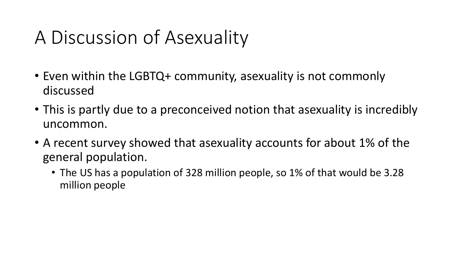## A Discussion of Asexuality

- Even within the LGBTQ+ community, asexuality is not commonly discussed
- This is partly due to a preconceived notion that asexuality is incredibly uncommon.
- A recent survey showed that asexuality accounts for about 1% of the general population.
	- The US has a population of 328 million people, so 1% of that would be 3.28 million people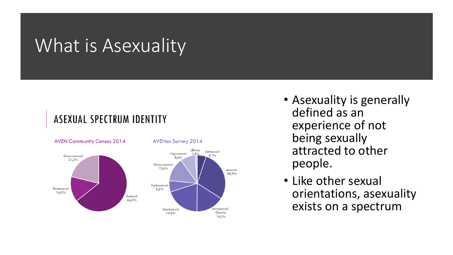### What is Asexuality

#### **ASEXUAL SPECTRUM IDENTITY**



**AVENes Survey 2014** 

(Blank)

1,2%

Antisexual

5.1%

Asexual 28,9%

Autosexual

Onanist

16,2%

- Asexuality is generally defined as an experience of not being sexually attracted to other people.
- Like other sexual orientations, asexuality exists on a spectrum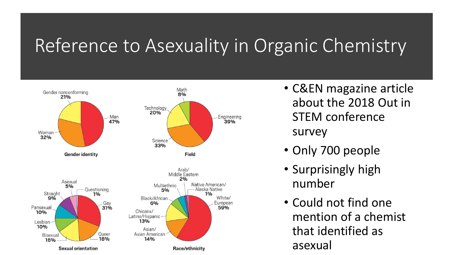### Reference to Asexuality in Organic Chemistry



- C&EN magazine article about the 2018 Out in STEM conference survey
- Only 700 people
- Surprisingly high number
- Could not find one mention of a chemist that identified as asexual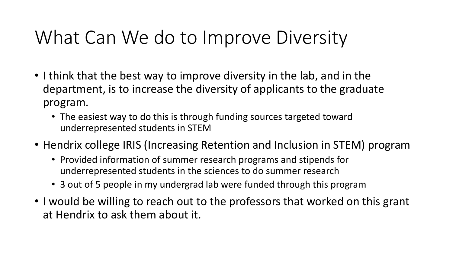## What Can We do to Improve Diversity

- I think that the best way to improve diversity in the lab, and in the department, is to increase the diversity of applicants to the graduate program.
	- The easiest way to do this is through funding sources targeted toward underrepresented students in STEM
- Hendrix college IRIS (Increasing Retention and Inclusion in STEM) program
	- Provided information of summer research programs and stipends for underrepresented students in the sciences to do summer research
	- 3 out of 5 people in my undergrad lab were funded through this program
- I would be willing to reach out to the professors that worked on this grant at Hendrix to ask them about it.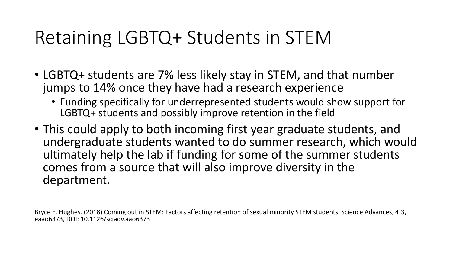## Retaining LGBTQ+ Students in STEM

- LGBTQ+ students are 7% less likely stay in STEM, and that number jumps to 14% once they have had a research experience
	- Funding specifically for underrepresented students would show support for LGBTQ+ students and possibly improve retention in the field
- This could apply to both incoming first year graduate students, and undergraduate students wanted to do summer research, which would ultimately help the lab if funding for some of the summer students comes from a source that will also improve diversity in the department.

Bryce E. Hughes. (2018) Coming out in STEM: Factors affecting retention of sexual minority STEM students. Science Advances, 4:3, eaao6373, DOI: 10.1126/sciadv.aao6373